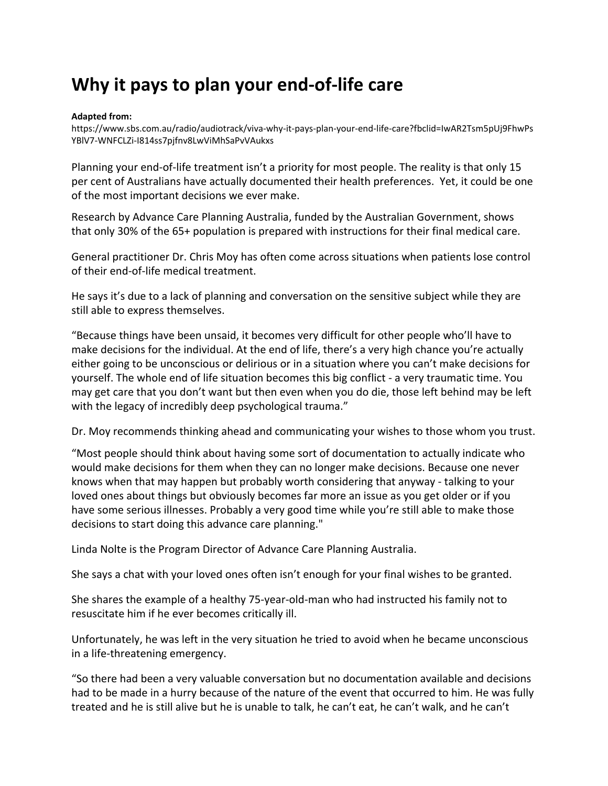## **Why it pays to plan your end-of-life care**

## **Adapted from:**

[https://www.sbs.com.au/radio/audiotrack/viva-why-it-pays-plan-your-end-life-care?fbclid=IwAR2Tsm5pUj9FhwPs](https://www.sbs.com.au/radio/audiotrack/viva-why-it-pays-plan-your-end-life-care?fbclid=IwAR2Tsm5pUj9FhwPsYBlV7-WNFCLZi-I814ss7pjfnv8LwViMhSaPvVAukxs) [YBlV7-WNFCLZi-I814ss7pjfnv8LwViMhSaPvVAukxs](https://www.sbs.com.au/radio/audiotrack/viva-why-it-pays-plan-your-end-life-care?fbclid=IwAR2Tsm5pUj9FhwPsYBlV7-WNFCLZi-I814ss7pjfnv8LwViMhSaPvVAukxs)

Planning your end-of-life treatment isn't a priority for most people. The reality is that only 15 per cent of Australians have actually documented their health preferences. Yet, it could be one of the most important decisions we ever make.

Research by Advance Care Planning Australia, funded by the Australian Government, shows that only 30% of the 65+ population is prepared with instructions for their final medical care.

General practitioner Dr. Chris Moy has often come across situations when patients lose control of their end-of-life medical treatment.

He says it's due to a lack of planning and conversation on the sensitive subject while they are still able to express themselves.

"Because things have been unsaid, it becomes very difficult for other people who'll have to make decisions for the individual. At the end of life, there's a very high chance you're actually either going to be unconscious or delirious or in a situation where you can't make decisions for yourself. The whole end of life situation becomes this big conflict - a very traumatic time. You may get care that you don't want but then even when you do die, those left behind may be left with the legacy of incredibly deep psychological trauma."

Dr. Moy recommends thinking ahead and communicating your wishes to those whom you trust.

"Most people should think about having some sort of documentation to actually indicate who would make decisions for them when they can no longer make decisions. Because one never knows when that may happen but probably worth considering that anyway - talking to your loved ones about things but obviously becomes far more an issue as you get older or if you have some serious illnesses. Probably a very good time while you're still able to make those decisions to start doing this advance care planning."

Linda Nolte is the Program Director of Advance Care Planning Australia.

She says a chat with your loved ones often isn't enough for your final wishes to be granted.

She shares the example of a healthy 75-year-old-man who had instructed his family not to resuscitate him if he ever becomes critically ill.

Unfortunately, he was left in the very situation he tried to avoid when he became unconscious in a life-threatening emergency.

"So there had been a very valuable conversation but no documentation available and decisions had to be made in a hurry because of the nature of the event that occurred to him. He was fully treated and he is still alive but he is unable to talk, he can't eat, he can't walk, and he can't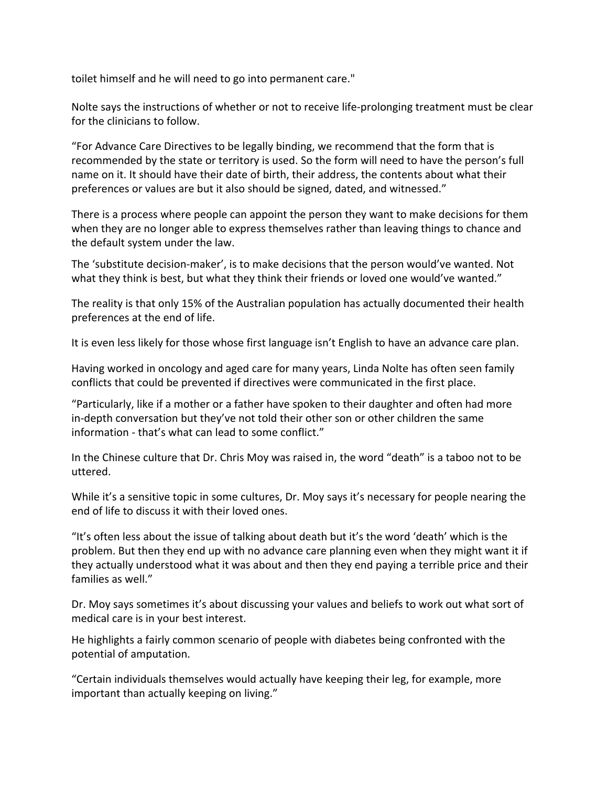toilet himself and he will need to go into permanent care."

Nolte says the instructions of whether or not to receive life-prolonging treatment must be clear for the clinicians to follow.

"For Advance Care Directives to be legally binding, we recommend that the form that is recommended by the state or territory is used. So the form will need to have the person's full name on it. It should have their date of birth, their address, the contents about what their preferences or values are but it also should be signed, dated, and witnessed."

There is a process where people can appoint the person they want to make decisions for them when they are no longer able to express themselves rather than leaving things to chance and the default system under the law.

The 'substitute decision-maker', is to make decisions that the person would've wanted. Not what they think is best, but what they think their friends or loved one would've wanted."

The reality is that only 15% of the Australian population has actually documented their health preferences at the end of life.

It is even less likely for those whose first language isn't English to have an advance care plan.

Having worked in oncology and aged care for many years, Linda Nolte has often seen family conflicts that could be prevented if directives were communicated in the first place.

"Particularly, like if a mother or a father have spoken to their daughter and often had more in-depth conversation but they've not told their other son or other children the same information - that's what can lead to some conflict."

In the Chinese culture that Dr. Chris Moy was raised in, the word "death" is a taboo not to be uttered.

While it's a sensitive topic in some cultures, Dr. Moy says it's necessary for people nearing the end of life to discuss it with their loved ones.

"It's often less about the issue of talking about death but it's the word 'death' which is the problem. But then they end up with no advance care planning even when they might want it if they actually understood what it was about and then they end paying a terrible price and their families as well."

Dr. Moy says sometimes it's about discussing your values and beliefs to work out what sort of medical care is in your best interest.

He highlights a fairly common scenario of people with diabetes being confronted with the potential of amputation.

"Certain individuals themselves would actually have keeping their leg, for example, more important than actually keeping on living."